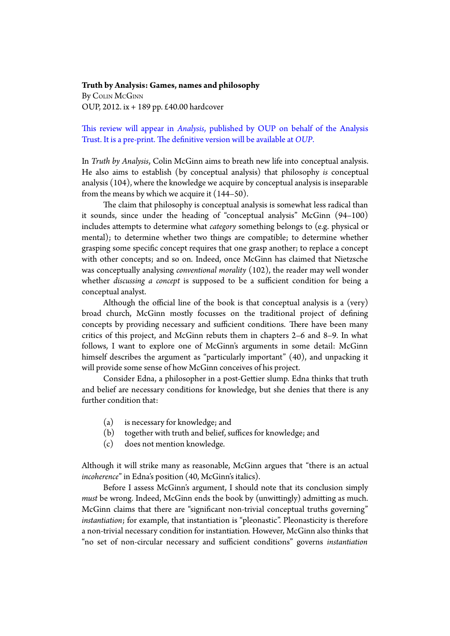**Truth by Analysis: Games, names and philosophy** By COLIN McGINN OUP, 2012. ix + 189 pp. £40.00 hardcover

## This review will appear in *Analysis*, published by OUP on behalf of the Analysis Trust. It is a pre-print. The definitive version will be available at *[OUP](http://analysis.oxfordjournals.org/)*.

In *Truth by Analysis*, Colin McGinn aims to breath new life into conceptual analysis. He also aims to establish (by conceptual analysis) that philosophy *is* conceptual analysis (104), where the knowledge we acquire by conceptual analysis is inseparable from the means by which we acquire it (144–50).

The claim that philosophy is conceptual analysis is somewhat less radical than it sounds, since under the heading of "conceptual analysis" McGinn (94–100) includes atempts to determine what *category* something belongs to (e.g. physical or mental); to determine whether two things are compatible; to determine whether grasping some specific concept requires that one grasp another; to replace a concept with other concepts; and so on. Indeed, once McGinn has claimed that Nietzsche was conceptually analysing *conventional morality* (102), the reader may well wonder whether *discussing a concept* is supposed to be a sufficient condition for being a conceptual analyst.

Although the official line of the book is that conceptual analysis is a (very) broad church, McGinn mostly focusses on the traditional project of defining concepts by providing necessary and sufficient conditions. There have been many critics of this project, and McGinn rebuts them in chapters 2–6 and 8–9. In what follows, I want to explore one of McGinn's arguments in some detail: McGinn himself describes the argument as "particularly important" (40), and unpacking it will provide some sense of how McGinn conceives of his project.

Consider Edna, a philosopher in a post-Getier slump. Edna thinks that truth and belief are necessary conditions for knowledge, but she denies that there is any further condition that:

- (a) is necessary for knowledge; and
- (b) together with truth and belief, suffices for knowledge; and
- (c) does not mention knowledge.

Although it will strike many as reasonable, McGinn argues that "there is an actual *incoherence*" in Edna's position (40, McGinn's italics).

Before I assess McGinn's argument, I should note that its conclusion simply *must* be wrong. Indeed, McGinn ends the book by (unwitingly) admiting as much. McGinn claims that there are "significant non-trivial conceptual truths governing" *instantiation*; for example, that instantiation is "pleonastic". Pleonasticity is therefore a non-trivial necessary condition for instantiation*.* However, McGinn also thinks that "no set of non-circular necessary and sufficient conditions" governs *instantiation*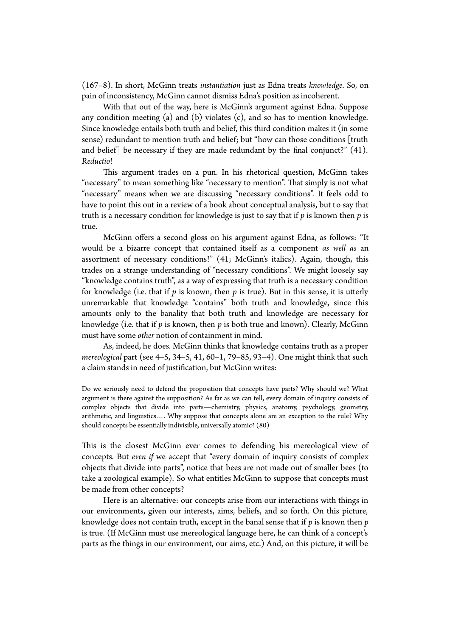(167–8). In short, McGinn treats *instantiation* just as Edna treats *knowledge*. So, on pain of inconsistency, McGinn cannot dismiss Edna's position as incoherent.

With that out of the way, here is McGinn's argument against Edna. Suppose any condition meeting (a) and (b) violates (c), and so has to mention knowledge. Since knowledge entails both truth and belief, this third condition makes it (in some sense) redundant to mention truth and belief; but "how can those conditions [truth and belief] be necessary if they are made redundant by the final conjunct?" (41). *Reductio*!

This argument trades on a pun. In his rhetorical question, McGinn takes "necessary" to mean something like "necessary to mention". Tat simply is not what "necessary" means when we are discussing "necessary conditions". It feels odd to have to point this out in a review of a book about conceptual analysis, but to say that truth is a necessary condition for knowledge is just to say that if *p* is known then *p* is true.

McGinn offers a second gloss on his argument against Edna, as follows: "It would be a bizarre concept that contained itself as a component *as well as* an assortment of necessary conditions!" (41; McGinn's italics). Again, though, this trades on a strange understanding of "necessary conditions". We might loosely say "knowledge contains truth", as a way of expressing that truth is a necessary condition for knowledge (i.e. that if *p* is known, then *p* is true). But in this sense, it is uterly unremarkable that knowledge "contains" both truth and knowledge, since this amounts only to the banality that both truth and knowledge are necessary for knowledge (i.e. that if *p* is known, then *p* is both true and known). Clearly, McGinn must have some *other* notion of containment in mind.

As, indeed, he does. McGinn thinks that knowledge contains truth as a proper *mereological* part (see 4–5, 34–5, 41, 60–1, 79–85, 93–4). One might think that such a claim stands in need of justification, but McGinn writes:

Do we seriously need to defend the proposition that concepts have parts? Why should we? What argument is there against the supposition? As far as we can tell, every domain of inquiry consists of complex objects that divide into parts—chemistry, physics, anatomy, psychology, geometry, arithmetic, and linguistics…. Why suppose that concepts alone are an exception to the rule? Why should concepts be essentially indivisible, universally atomic? (80)

This is the closest McGinn ever comes to defending his mereological view of concepts. But *even if* we accept that "every domain of inquiry consists of complex objects that divide into parts", notice that bees are not made out of smaller bees (to take a zoological example). So what entitles McGinn to suppose that concepts must be made from other concepts?

Here is an alternative: our concepts arise from our interactions with things in our environments, given our interests, aims, beliefs, and so forth. On this picture, knowledge does not contain truth, except in the banal sense that if *p* is known then *p* is true. (If McGinn must use mereological language here, he can think of a concept's parts as the things in our environment, our aims, etc.) And, on this picture, it will be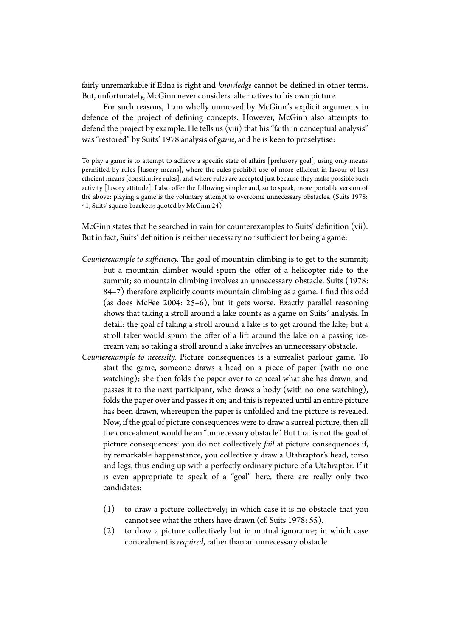fairly unremarkable if Edna is right and *knowledge* cannot be defined in other terms. But, unfortunately, McGinn never considers alternatives to his own picture.

For such reasons, I am wholly unmoved by McGinn's explicit arguments in defence of the project of defining concepts. However, McGinn also atempts to defend the project by example. He tells us (viii) that his "faith in conceptual analysis" was "restored" by Suits' 1978 analysis of *game*, and he is keen to proselytise:

To play a game is to attempt to achieve a specific state of affairs [prelusory goal], using only means permitted by rules [lusory means], where the rules prohibit use of more efficient in favour of less efficient means [constitutive rules], and where rules are accepted just because they make possible such activity [lusory atitude]. I also ofer the following simpler and, so to speak, more portable version of the above: playing a game is the voluntary atempt to overcome unnecessary obstacles. (Suits 1978: 41, Suits' square-brackets; quoted by McGinn 24)

McGinn states that he searched in vain for counterexamples to Suits' definition (vii). But in fact, Suits' definition is neither necessary nor sufficient for being a game:

- *Counterexample to sufficiency*. The goal of mountain climbing is to get to the summit; but a mountain climber would spurn the offer of a helicopter ride to the summit; so mountain climbing involves an unnecessary obstacle. Suits (1978: 84–7) therefore explicitly counts mountain climbing as a game. I find this odd (as does McFee 2004: 25–6), but it gets worse. Exactly parallel reasoning shows that taking a stroll around a lake counts as a game on Suits' analysis. In detail: the goal of taking a stroll around a lake is to get around the lake; but a stroll taker would spurn the offer of a lift around the lake on a passing icecream van; so taking a stroll around a lake involves an unnecessary obstacle.
- *Counterexample to necessity.* Picture consequences is a surrealist parlour game. To start the game, someone draws a head on a piece of paper (with no one watching); she then folds the paper over to conceal what she has drawn, and passes it to the next participant, who draws a body (with no one watching), folds the paper over and passes it on; and this is repeated until an entire picture has been drawn, whereupon the paper is unfolded and the picture is revealed. Now, if the goal of picture consequences were to draw a surreal picture, then all the concealment would be an "unnecessary obstacle". But that is not the goal of picture consequences: you do not collectively *fail* at picture consequences if, by remarkable happenstance, you collectively draw a Utahraptor's head, torso and legs, thus ending up with a perfectly ordinary picture of a Utahraptor. If it is even appropriate to speak of a "goal" here, there are really only two candidates:
	- (1) to draw a picture collectively; in which case it is no obstacle that you cannot see what the others have drawn (cf. Suits 1978: 55).
	- (2) to draw a picture collectively but in mutual ignorance; in which case concealment is *required*, rather than an unnecessary obstacle.